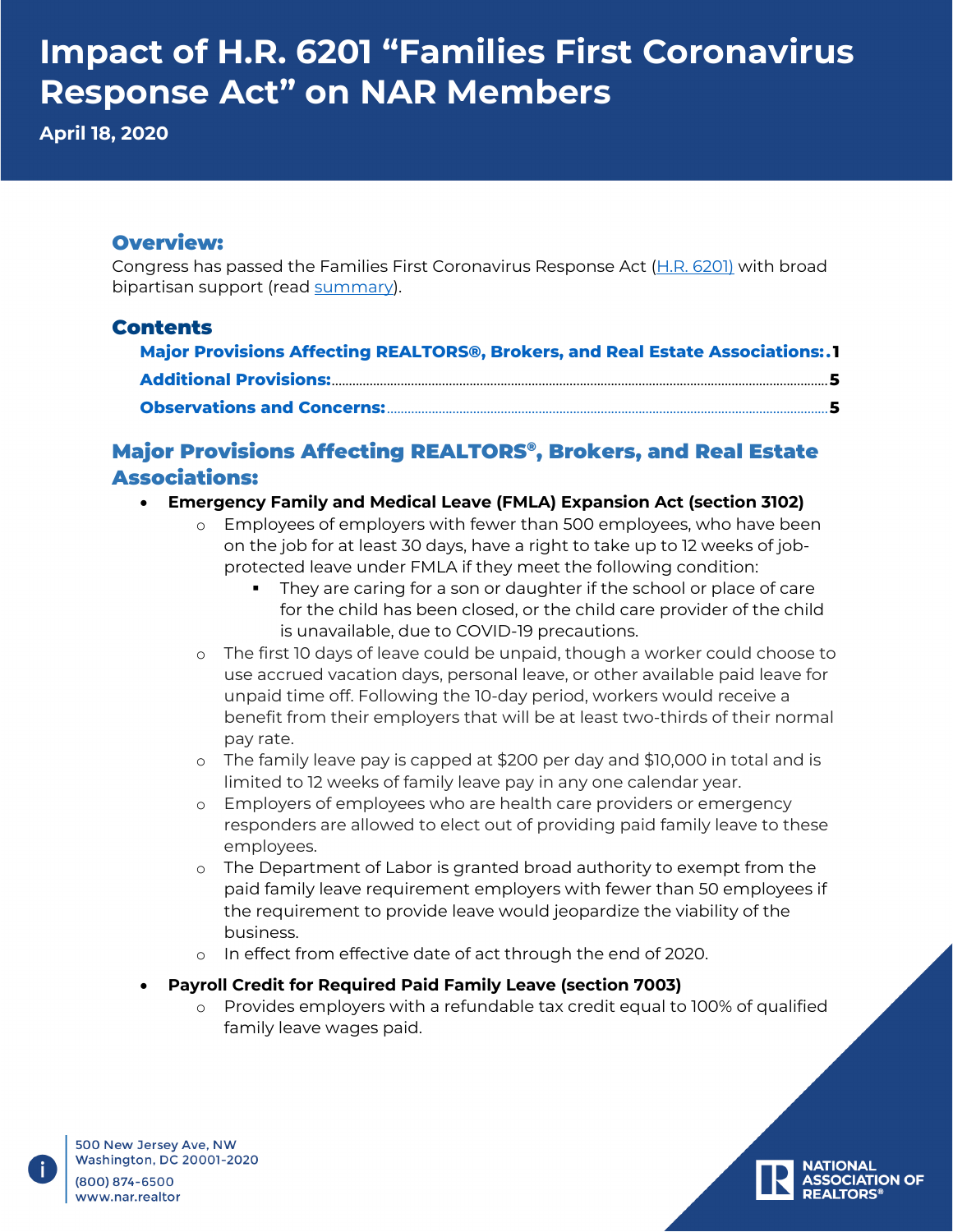**April 18, 2020**

#### Overview:

Congress has passed the Families First Coronavirus Response Act [\(H.R. 6201\)](https://docs.house.gov/billsthisweek/20200309/BILLS-116hr6201-SUS.pdf) with broad bipartisan support (read [summary\)](https://appropriations.house.gov/sites/democrats.appropriations.house.gov/files/Families%20First%20Summary%20FINAL.pdf).

#### Contents

| Major Provisions Affecting REALTORS®, Brokers, and Real Estate Associations:.1 |  |
|--------------------------------------------------------------------------------|--|
|                                                                                |  |
|                                                                                |  |

### <span id="page-0-0"></span>Major Provisions Affecting REALTORS®, Brokers, and Real Estate Associations:

- **Emergency Family and Medical Leave (FMLA) Expansion Act (section 3102)**
	- o Employees of employers with fewer than 500 employees, who have been on the job for at least 30 days, have a right to take up to 12 weeks of jobprotected leave under FMLA if they meet the following condition:
		- They are caring for a son or daughter if the school or place of care for the child has been closed, or the child care provider of the child is unavailable, due to COVID-19 precautions.
	- o The first 10 days of leave could be unpaid, though a worker could choose to use accrued vacation days, personal leave, or other available paid leave for unpaid time off. Following the 10-day period, workers would receive a benefit from their employers that will be at least two-thirds of their normal pay rate.
	- o The family leave pay is capped at \$200 per day and \$10,000 in total and is limited to 12 weeks of family leave pay in any one calendar year.
	- o Employers of employees who are health care providers or emergency responders are allowed to elect out of providing paid family leave to these employees.
	- o The Department of Labor is granted broad authority to exempt from the paid family leave requirement employers with fewer than 50 employees if the requirement to provide leave would jeopardize the viability of the business.
	- o In effect from effective date of act through the end of 2020.
- **Payroll Credit for Required Paid Family Leave (section 7003)**
	- o Provides employers with a refundable tax credit equal to 100% of qualified family leave wages paid.

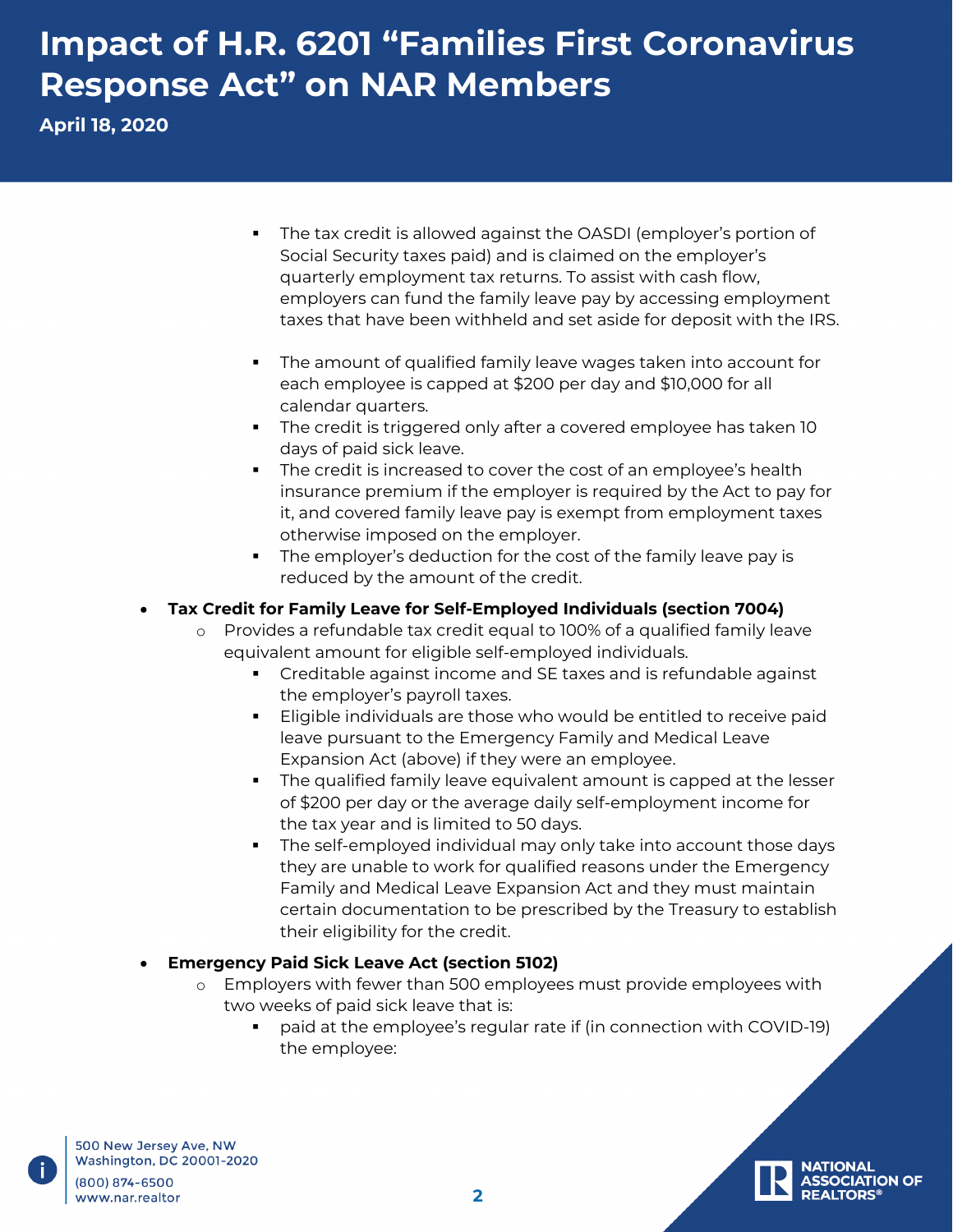**April 18, 2020**

- The tax credit is allowed against the OASDI (employer's portion of Social Security taxes paid) and is claimed on the employer's quarterly employment tax returns. To assist with cash flow, employers can fund the family leave pay by accessing employment taxes that have been withheld and set aside for deposit with the IRS.
- The amount of qualified family leave wages taken into account for each employee is capped at \$200 per day and \$10,000 for all calendar quarters.
- **The credit is triggered only after a covered employee has taken 10** days of paid sick leave.
- The credit is increased to cover the cost of an employee's health insurance premium if the employer is required by the Act to pay for it, and covered family leave pay is exempt from employment taxes otherwise imposed on the employer.
- The employer's deduction for the cost of the family leave pay is reduced by the amount of the credit.

#### • **Tax Credit for Family Leave for Self-Employed Individuals (section 7004)**

- o Provides a refundable tax credit equal to 100% of a qualified family leave equivalent amount for eligible self-employed individuals.
	- Creditable against income and SE taxes and is refundable against the employer's payroll taxes.
	- Eligible individuals are those who would be entitled to receive paid leave pursuant to the Emergency Family and Medical Leave Expansion Act (above) if they were an employee.
	- The qualified family leave equivalent amount is capped at the lesser of \$200 per day or the average daily self-employment income for the tax year and is limited to 50 days.
	- The self-employed individual may only take into account those days they are unable to work for qualified reasons under the Emergency Family and Medical Leave Expansion Act and they must maintain certain documentation to be prescribed by the Treasury to establish their eligibility for the credit.

#### • **Emergency Paid Sick Leave Act (section 5102)**

- o Employers with fewer than 500 employees must provide employees with two weeks of paid sick leave that is:
	- paid at the employee's regular rate if (in connection with COVID-19) the employee:

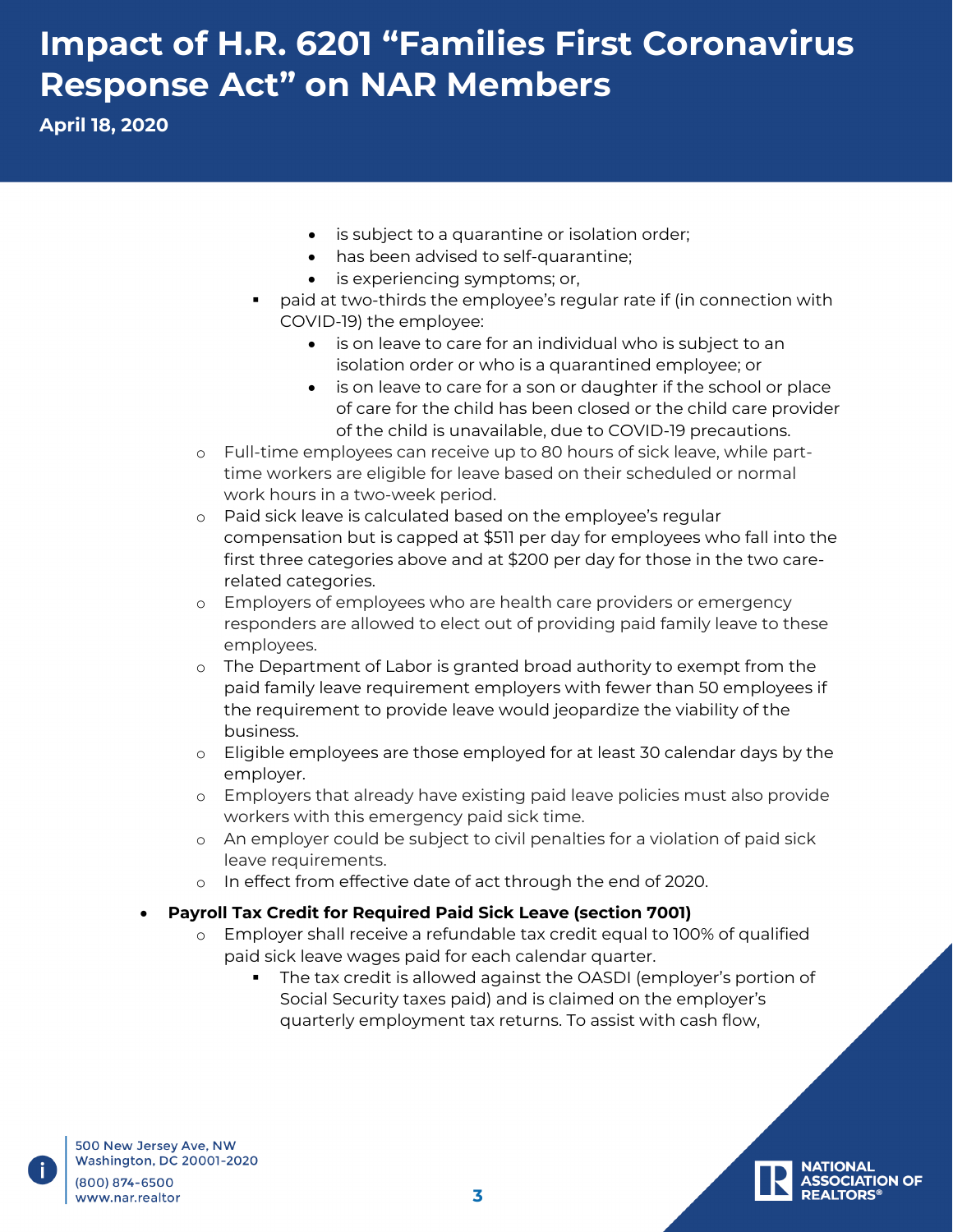**April 18, 2020**

- is subject to a quarantine or isolation order;
- has been advised to self-quarantine;
- is experiencing symptoms; or,
- paid at two-thirds the employee's regular rate if (in connection with COVID-19) the employee:
	- is on leave to care for an individual who is subject to an isolation order or who is a quarantined employee; or
	- is on leave to care for a son or daughter if the school or place of care for the child has been closed or the child care provider of the child is unavailable, due to COVID-19 precautions.
- o Full-time employees can receive up to 80 hours of sick leave, while parttime workers are eligible for leave based on their scheduled or normal work hours in a two-week period.
- o Paid sick leave is calculated based on the employee's regular compensation but is capped at \$511 per day for employees who fall into the first three categories above and at \$200 per day for those in the two carerelated categories.
- o Employers of employees who are health care providers or emergency responders are allowed to elect out of providing paid family leave to these employees.
- o The Department of Labor is granted broad authority to exempt from the paid family leave requirement employers with fewer than 50 employees if the requirement to provide leave would jeopardize the viability of the business.
- o Eligible employees are those employed for at least 30 calendar days by the employer.
- o Employers that already have existing paid leave policies must also provide workers with this emergency paid sick time.
- o An employer could be subject to civil penalties for a violation of paid sick leave requirements.
- o In effect from effective date of act through the end of 2020.
- **Payroll Tax Credit for Required Paid Sick Leave (section 7001)**
	- o Employer shall receive a refundable tax credit equal to 100% of qualified paid sick leave wages paid for each calendar quarter.
		- The tax credit is allowed against the OASDI (employer's portion of Social Security taxes paid) and is claimed on the employer's quarterly employment tax returns. To assist with cash flow,

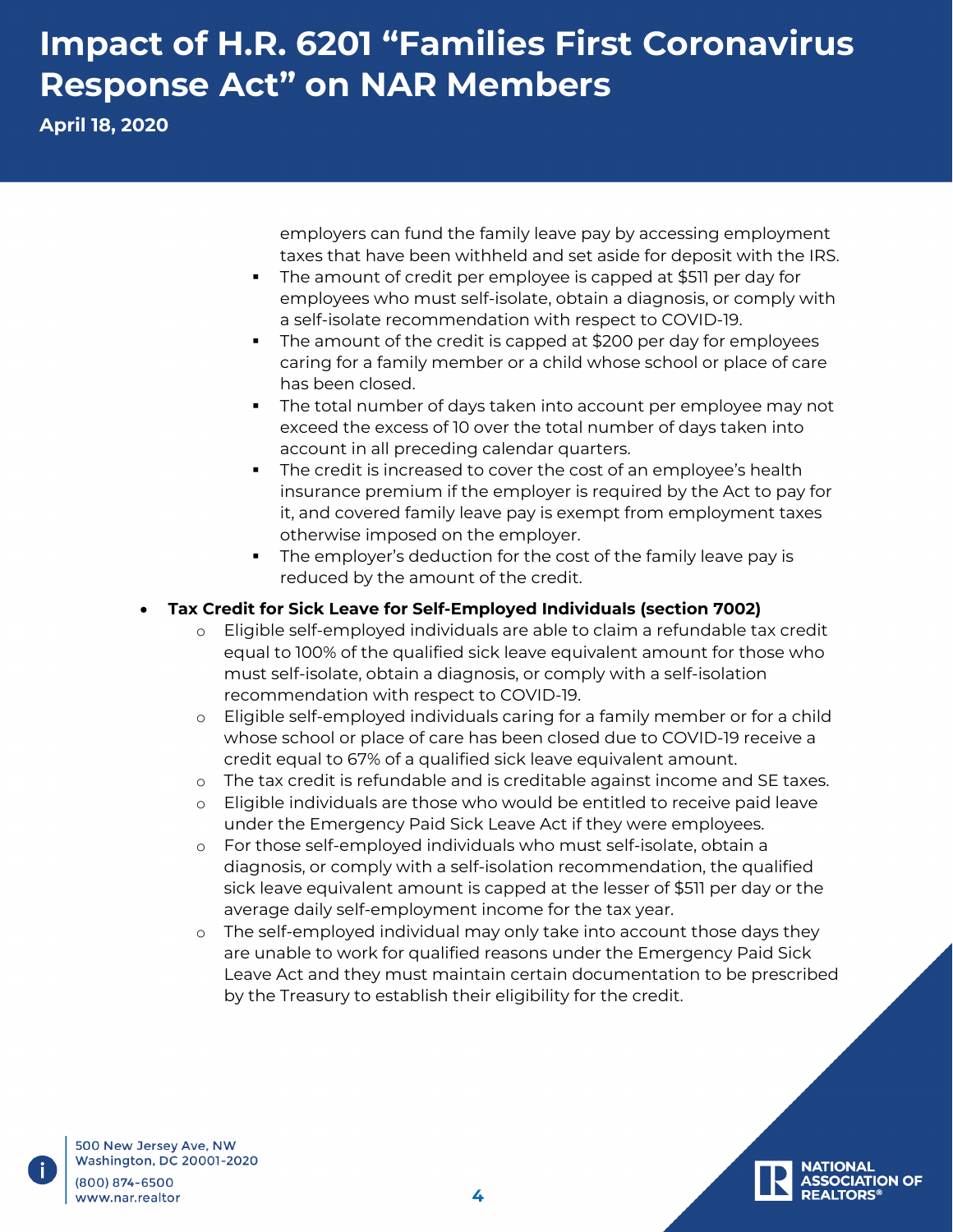**April 18, 2020**

employers can fund the family leave pay by accessing employment taxes that have been withheld and set aside for deposit with the IRS.

- The amount of credit per employee is capped at \$511 per day for employees who must self-isolate, obtain a diagnosis, or comply with a self-isolate recommendation with respect to COVID-19.
- The amount of the credit is capped at \$200 per day for employees caring for a family member or a child whose school or place of care has been closed.
- The total number of days taken into account per employee may not exceed the excess of 10 over the total number of days taken into account in all preceding calendar quarters.
- The credit is increased to cover the cost of an employee's health insurance premium if the employer is required by the Act to pay for it, and covered family leave pay is exempt from employment taxes otherwise imposed on the employer.
- The employer's deduction for the cost of the family leave pay is reduced by the amount of the credit.

#### • **Tax Credit for Sick Leave for Self-Employed Individuals (section 7002)**

- o Eligible self-employed individuals are able to claim a refundable tax credit equal to 100% of the qualified sick leave equivalent amount for those who must self-isolate, obtain a diagnosis, or comply with a self-isolation recommendation with respect to COVID-19.
- o Eligible self-employed individuals caring for a family member or for a child whose school or place of care has been closed due to COVID-19 receive a credit equal to 67% of a qualified sick leave equivalent amount.
- o The tax credit is refundable and is creditable against income and SE taxes.
- o Eligible individuals are those who would be entitled to receive paid leave under the Emergency Paid Sick Leave Act if they were employees.
- o For those self-employed individuals who must self-isolate, obtain a diagnosis, or comply with a self-isolation recommendation, the qualified sick leave equivalent amount is capped at the lesser of \$511 per day or the average daily self-employment income for the tax year.
- o The self-employed individual may only take into account those days they are unable to work for qualified reasons under the Emergency Paid Sick Leave Act and they must maintain certain documentation to be prescribed by the Treasury to establish their eligibility for the credit.